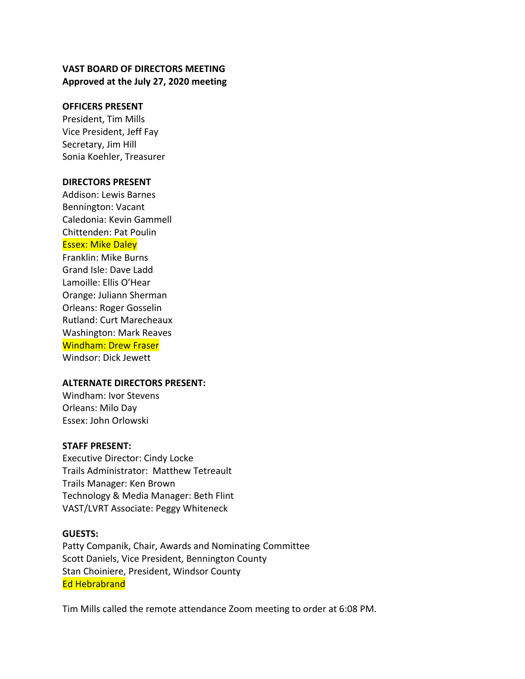## **VAST BOARD OF DIRECTORS MEETING Approved at the July 27, 2020 meeting**

#### **OFFICERS PRESENT**

President, Tim Mills Vice President, Jeff Fay Secretary, Jim Hill Sonia Koehler, Treasurer

#### **DIRECTORS PRESENT**

Addison: Lewis Barnes Bennington: Vacant Caledonia: Kevin Gammell Chittenden: Pat Poulin

#### Essex: Mike Daley

Franklin: Mike Burns Grand Isle: Dave Ladd Lamoille: Ellis O'Hear Orange: Juliann Sherman Orleans: Roger Gosselin Rutland: Curt Marecheaux Washington: Mark Reaves Windham: Drew Fraser Windsor: Dick Jewett

#### **ALTERNATE DIRECTORS PRESENT:**

Windham: Ivor Stevens Orleans: Milo Day Essex: John Orlowski

#### **STAFF PRESENT:**

Executive Director: Cindy Locke Trails Administrator: Matthew Tetreault Trails Manager: Ken Brown Technology & Media Manager: Beth Flint VAST/LVRT Associate: Peggy Whiteneck

#### **GUESTS:**

Patty Companik, Chair, Awards and Nominating Committee Scott Daniels, Vice President, Bennington County Stan Choiniere, President, Windsor County Ed Hebrabrand

Tim Mills called the remote attendance Zoom meeting to order at 6:08 PM.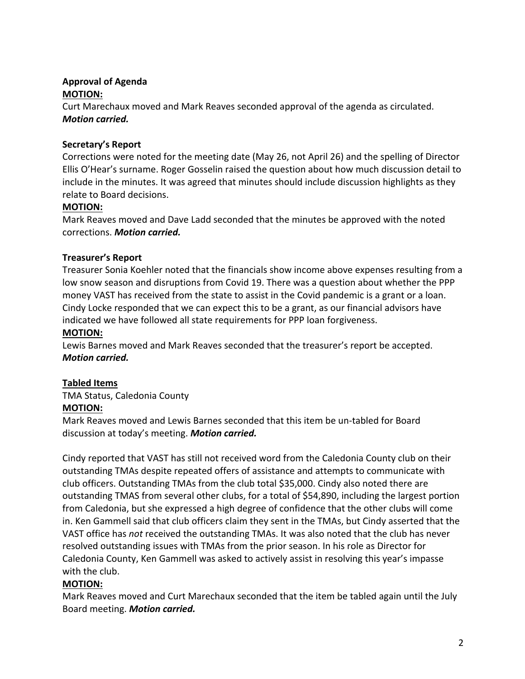## **Approval of Agenda MOTION:**

Curt Marechaux moved and Mark Reaves seconded approval of the agenda as circulated. *Motion carried.*

# **Secretary's Report**

Corrections were noted for the meeting date (May 26, not April 26) and the spelling of Director Ellis O'Hear's surname. Roger Gosselin raised the question about how much discussion detail to include in the minutes. It was agreed that minutes should include discussion highlights as they relate to Board decisions.

# **MOTION:**

Mark Reaves moved and Dave Ladd seconded that the minutes be approved with the noted corrections. *Motion carried.*

# **Treasurer's Report**

Treasurer Sonia Koehler noted that the financials show income above expenses resulting from a low snow season and disruptions from Covid 19. There was a question about whether the PPP money VAST has received from the state to assist in the Covid pandemic is a grant or a loan. Cindy Locke responded that we can expect this to be a grant, as our financial advisors have indicated we have followed all state requirements for PPP loan forgiveness.

# **MOTION:**

Lewis Barnes moved and Mark Reaves seconded that the treasurer's report be accepted. *Motion carried.*

# **Tabled Items**

TMA Status, Caledonia County

# **MOTION:**

Mark Reaves moved and Lewis Barnes seconded that this item be un-tabled for Board discussion at today's meeting. *Motion carried.*

Cindy reported that VAST has still not received word from the Caledonia County club on their outstanding TMAs despite repeated offers of assistance and attempts to communicate with club officers. Outstanding TMAs from the club total \$35,000. Cindy also noted there are outstanding TMAS from several other clubs, for a total of \$54,890, including the largest portion from Caledonia, but she expressed a high degree of confidence that the other clubs will come in. Ken Gammell said that club officers claim they sent in the TMAs, but Cindy asserted that the VAST office has *not* received the outstanding TMAs. It was also noted that the club has never resolved outstanding issues with TMAs from the prior season. In his role as Director for Caledonia County, Ken Gammell was asked to actively assist in resolving this year's impasse with the club.

# **MOTION:**

Mark Reaves moved and Curt Marechaux seconded that the item be tabled again until the July Board meeting. *Motion carried.*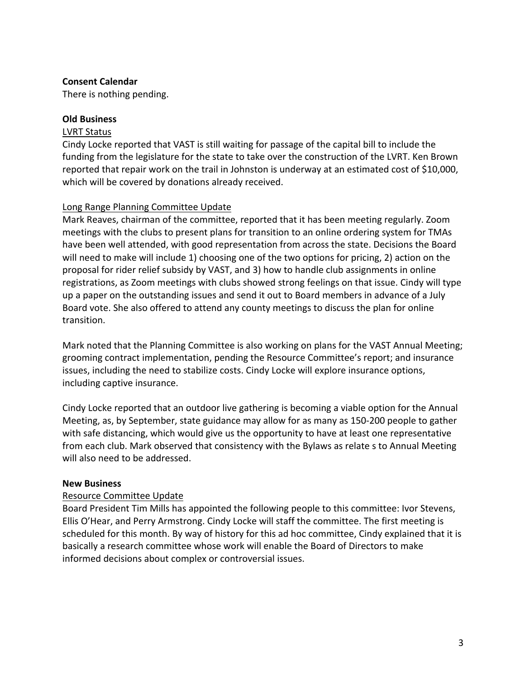## **Consent Calendar**

There is nothing pending.

## **Old Business**

## LVRT Status

Cindy Locke reported that VAST is still waiting for passage of the capital bill to include the funding from the legislature for the state to take over the construction of the LVRT. Ken Brown reported that repair work on the trail in Johnston is underway at an estimated cost of \$10,000, which will be covered by donations already received.

## Long Range Planning Committee Update

Mark Reaves, chairman of the committee, reported that it has been meeting regularly. Zoom meetings with the clubs to present plans for transition to an online ordering system for TMAs have been well attended, with good representation from across the state. Decisions the Board will need to make will include 1) choosing one of the two options for pricing, 2) action on the proposal for rider relief subsidy by VAST, and 3) how to handle club assignments in online registrations, as Zoom meetings with clubs showed strong feelings on that issue. Cindy will type up a paper on the outstanding issues and send it out to Board members in advance of a July Board vote. She also offered to attend any county meetings to discuss the plan for online transition.

Mark noted that the Planning Committee is also working on plans for the VAST Annual Meeting; grooming contract implementation, pending the Resource Committee's report; and insurance issues, including the need to stabilize costs. Cindy Locke will explore insurance options, including captive insurance.

Cindy Locke reported that an outdoor live gathering is becoming a viable option for the Annual Meeting, as, by September, state guidance may allow for as many as 150-200 people to gather with safe distancing, which would give us the opportunity to have at least one representative from each club. Mark observed that consistency with the Bylaws as relate s to Annual Meeting will also need to be addressed.

## **New Business**

## Resource Committee Update

Board President Tim Mills has appointed the following people to this committee: Ivor Stevens, Ellis O'Hear, and Perry Armstrong. Cindy Locke will staff the committee. The first meeting is scheduled for this month. By way of history for this ad hoc committee, Cindy explained that it is basically a research committee whose work will enable the Board of Directors to make informed decisions about complex or controversial issues.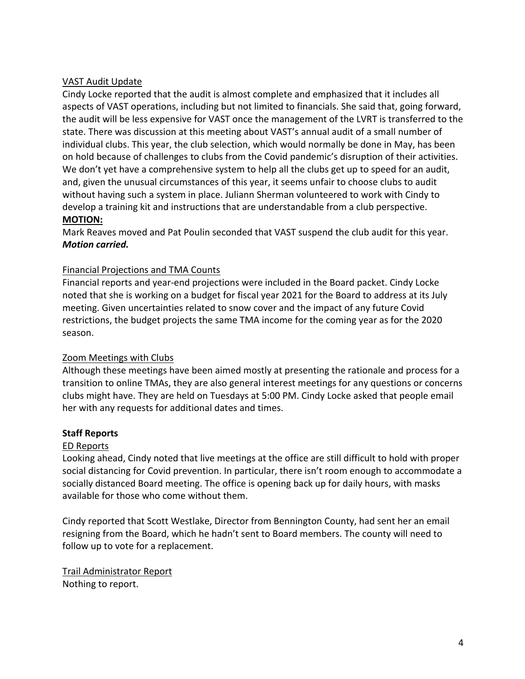# VAST Audit Update

Cindy Locke reported that the audit is almost complete and emphasized that it includes all aspects of VAST operations, including but not limited to financials. She said that, going forward, the audit will be less expensive for VAST once the management of the LVRT is transferred to the state. There was discussion at this meeting about VAST's annual audit of a small number of individual clubs. This year, the club selection, which would normally be done in May, has been on hold because of challenges to clubs from the Covid pandemic's disruption of their activities. We don't yet have a comprehensive system to help all the clubs get up to speed for an audit, and, given the unusual circumstances of this year, it seems unfair to choose clubs to audit without having such a system in place. Juliann Sherman volunteered to work with Cindy to develop a training kit and instructions that are understandable from a club perspective.

## **MOTION:**

Mark Reaves moved and Pat Poulin seconded that VAST suspend the club audit for this year. *Motion carried.*

# Financial Projections and TMA Counts

Financial reports and year-end projections were included in the Board packet. Cindy Locke noted that she is working on a budget for fiscal year 2021 for the Board to address at its July meeting. Given uncertainties related to snow cover and the impact of any future Covid restrictions, the budget projects the same TMA income for the coming year as for the 2020 season.

# Zoom Meetings with Clubs

Although these meetings have been aimed mostly at presenting the rationale and process for a transition to online TMAs, they are also general interest meetings for any questions or concerns clubs might have. They are held on Tuesdays at 5:00 PM. Cindy Locke asked that people email her with any requests for additional dates and times.

## **Staff Reports**

# ED Reports

Looking ahead, Cindy noted that live meetings at the office are still difficult to hold with proper social distancing for Covid prevention. In particular, there isn't room enough to accommodate a socially distanced Board meeting. The office is opening back up for daily hours, with masks available for those who come without them.

Cindy reported that Scott Westlake, Director from Bennington County, had sent her an email resigning from the Board, which he hadn't sent to Board members. The county will need to follow up to vote for a replacement.

Trail Administrator Report Nothing to report.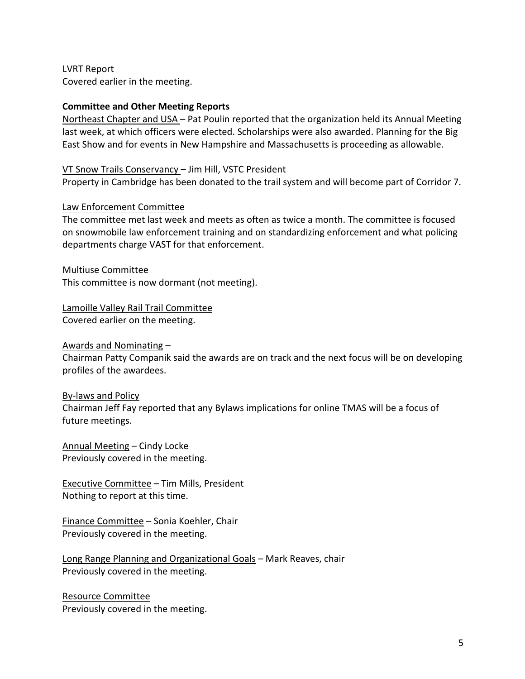LVRT Report Covered earlier in the meeting.

### **Committee and Other Meeting Reports**

Northeast Chapter and USA – Pat Poulin reported that the organization held its Annual Meeting last week, at which officers were elected. Scholarships were also awarded. Planning for the Big East Show and for events in New Hampshire and Massachusetts is proceeding as allowable.

#### VT Snow Trails Conservancy – Jim Hill, VSTC President

Property in Cambridge has been donated to the trail system and will become part of Corridor 7.

### Law Enforcement Committee

The committee met last week and meets as often as twice a month. The committee is focused on snowmobile law enforcement training and on standardizing enforcement and what policing departments charge VAST for that enforcement.

Multiuse Committee This committee is now dormant (not meeting).

# Lamoille Valley Rail Trail Committee

Covered earlier on the meeting.

#### Awards and Nominating –

Chairman Patty Companik said the awards are on track and the next focus will be on developing profiles of the awardees.

#### By-laws and Policy

Chairman Jeff Fay reported that any Bylaws implications for online TMAS will be a focus of future meetings.

Annual Meeting – Cindy Locke Previously covered in the meeting.

Executive Committee – Tim Mills, President Nothing to report at this time.

Finance Committee – Sonia Koehler, Chair Previously covered in the meeting.

Long Range Planning and Organizational Goals – Mark Reaves, chair Previously covered in the meeting.

Resource Committee Previously covered in the meeting.